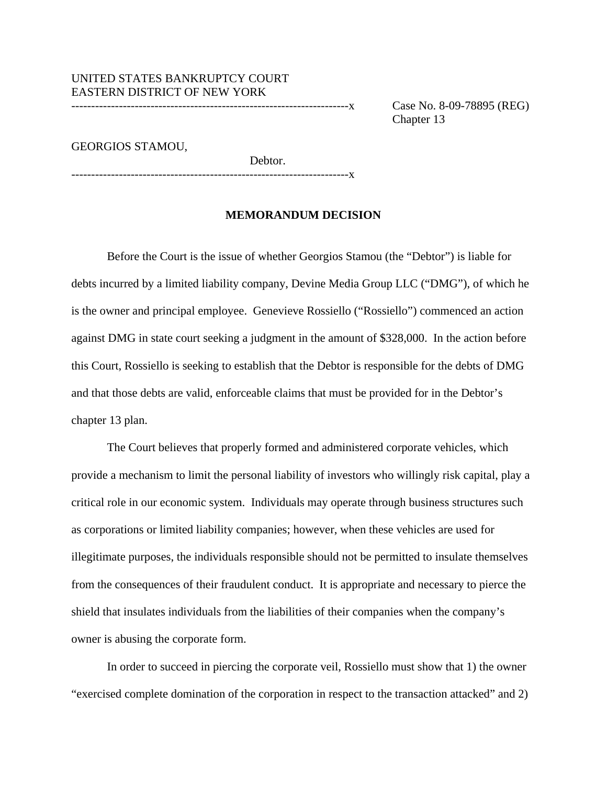UNITED STATES BANKRUPTCY COURT EASTERN DISTRICT OF NEW YORK

----------------------------------------------------------------------x Case No. 8-09-78895 (REG) Chapter 13

GEORGIOS STAMOU,

----------------------------------------------------------------------x

### **MEMORANDUM DECISION**

Debtor.

 Before the Court is the issue of whether Georgios Stamou (the "Debtor") is liable for debts incurred by a limited liability company, Devine Media Group LLC ("DMG"), of which he is the owner and principal employee. Genevieve Rossiello ("Rossiello") commenced an action against DMG in state court seeking a judgment in the amount of \$328,000. In the action before this Court, Rossiello is seeking to establish that the Debtor is responsible for the debts of DMG and that those debts are valid, enforceable claims that must be provided for in the Debtor's chapter 13 plan.

The Court believes that properly formed and administered corporate vehicles, which provide a mechanism to limit the personal liability of investors who willingly risk capital, play a critical role in our economic system. Individuals may operate through business structures such as corporations or limited liability companies; however, when these vehicles are used for illegitimate purposes, the individuals responsible should not be permitted to insulate themselves from the consequences of their fraudulent conduct. It is appropriate and necessary to pierce the shield that insulates individuals from the liabilities of their companies when the company's owner is abusing the corporate form.

In order to succeed in piercing the corporate veil, Rossiello must show that 1) the owner "exercised complete domination of the corporation in respect to the transaction attacked" and 2)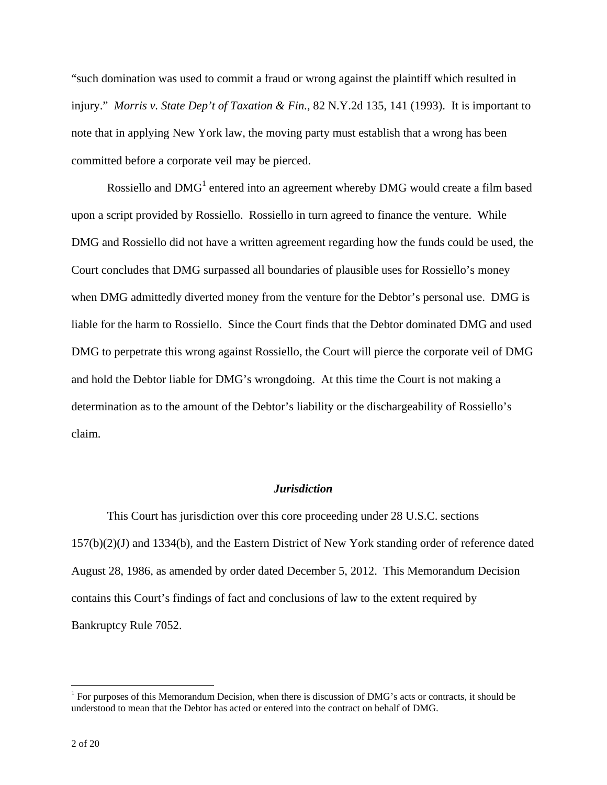"such domination was used to commit a fraud or wrong against the plaintiff which resulted in injury." *Morris v. State Dep't of Taxation & Fin.*, 82 N.Y.2d 135, 141 (1993). It is important to note that in applying New York law, the moving party must establish that a wrong has been committed before a corporate veil may be pierced.

Rossiello and  $DMG<sup>1</sup>$  entered into an agreement whereby  $DMG$  would create a film based upon a script provided by Rossiello. Rossiello in turn agreed to finance the venture. While DMG and Rossiello did not have a written agreement regarding how the funds could be used, the Court concludes that DMG surpassed all boundaries of plausible uses for Rossiello's money when DMG admittedly diverted money from the venture for the Debtor's personal use. DMG is liable for the harm to Rossiello. Since the Court finds that the Debtor dominated DMG and used DMG to perpetrate this wrong against Rossiello, the Court will pierce the corporate veil of DMG and hold the Debtor liable for DMG's wrongdoing. At this time the Court is not making a determination as to the amount of the Debtor's liability or the dischargeability of Rossiello's claim.

# *Jurisdiction*

This Court has jurisdiction over this core proceeding under 28 U.S.C. sections 157(b)(2)(J) and 1334(b), and the Eastern District of New York standing order of reference dated August 28, 1986, as amended by order dated December 5, 2012. This Memorandum Decision contains this Court's findings of fact and conclusions of law to the extent required by Bankruptcy Rule 7052.

 $1$  For purposes of this Memorandum Decision, when there is discussion of DMG's acts or contracts, it should be understood to mean that the Debtor has acted or entered into the contract on behalf of DMG.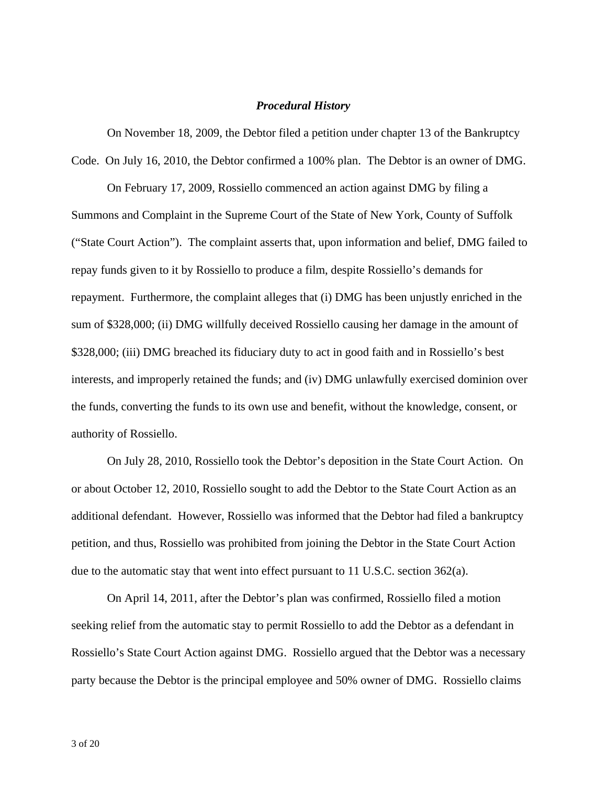## *Procedural History*

On November 18, 2009, the Debtor filed a petition under chapter 13 of the Bankruptcy Code. On July 16, 2010, the Debtor confirmed a 100% plan. The Debtor is an owner of DMG.

 On February 17, 2009, Rossiello commenced an action against DMG by filing a Summons and Complaint in the Supreme Court of the State of New York, County of Suffolk ("State Court Action"). The complaint asserts that, upon information and belief, DMG failed to repay funds given to it by Rossiello to produce a film, despite Rossiello's demands for repayment. Furthermore, the complaint alleges that (i) DMG has been unjustly enriched in the sum of \$328,000; (ii) DMG willfully deceived Rossiello causing her damage in the amount of \$328,000; (iii) DMG breached its fiduciary duty to act in good faith and in Rossiello's best interests, and improperly retained the funds; and (iv) DMG unlawfully exercised dominion over the funds, converting the funds to its own use and benefit, without the knowledge, consent, or authority of Rossiello.

On July 28, 2010, Rossiello took the Debtor's deposition in the State Court Action. On or about October 12, 2010, Rossiello sought to add the Debtor to the State Court Action as an additional defendant. However, Rossiello was informed that the Debtor had filed a bankruptcy petition, and thus, Rossiello was prohibited from joining the Debtor in the State Court Action due to the automatic stay that went into effect pursuant to 11 U.S.C. section 362(a).

On April 14, 2011, after the Debtor's plan was confirmed, Rossiello filed a motion seeking relief from the automatic stay to permit Rossiello to add the Debtor as a defendant in Rossiello's State Court Action against DMG. Rossiello argued that the Debtor was a necessary party because the Debtor is the principal employee and 50% owner of DMG. Rossiello claims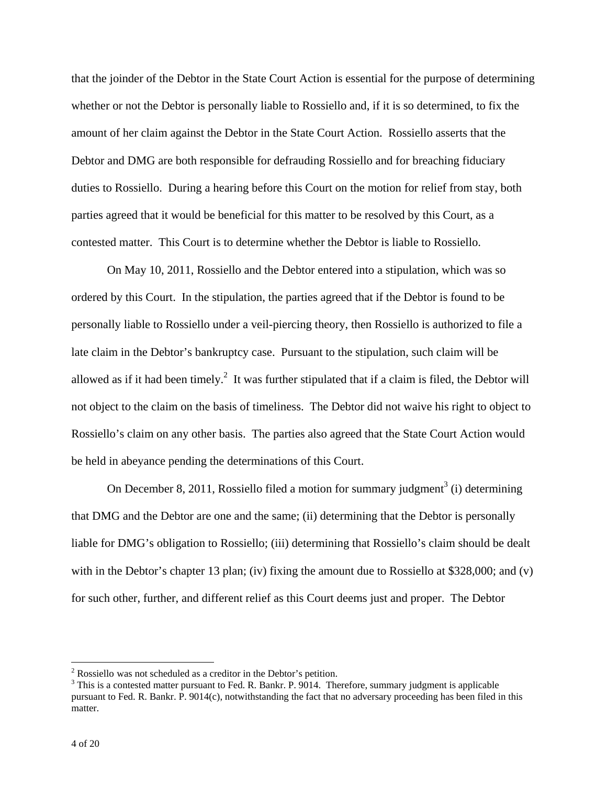that the joinder of the Debtor in the State Court Action is essential for the purpose of determining whether or not the Debtor is personally liable to Rossiello and, if it is so determined, to fix the amount of her claim against the Debtor in the State Court Action. Rossiello asserts that the Debtor and DMG are both responsible for defrauding Rossiello and for breaching fiduciary duties to Rossiello. During a hearing before this Court on the motion for relief from stay, both parties agreed that it would be beneficial for this matter to be resolved by this Court, as a contested matter. This Court is to determine whether the Debtor is liable to Rossiello.

On May 10, 2011, Rossiello and the Debtor entered into a stipulation, which was so ordered by this Court. In the stipulation, the parties agreed that if the Debtor is found to be personally liable to Rossiello under a veil-piercing theory, then Rossiello is authorized to file a late claim in the Debtor's bankruptcy case. Pursuant to the stipulation, such claim will be allowed as if it had been timely.<sup>2</sup> It was further stipulated that if a claim is filed, the Debtor will not object to the claim on the basis of timeliness. The Debtor did not waive his right to object to Rossiello's claim on any other basis. The parties also agreed that the State Court Action would be held in abeyance pending the determinations of this Court.

On December 8, 2011, Rossiello filed a motion for summary judgment<sup>3</sup> (i) determining that DMG and the Debtor are one and the same; (ii) determining that the Debtor is personally liable for DMG's obligation to Rossiello; (iii) determining that Rossiello's claim should be dealt with in the Debtor's chapter 13 plan; (iv) fixing the amount due to Rossiello at \$328,000; and (v) for such other, further, and different relief as this Court deems just and proper. The Debtor

<sup>&</sup>lt;sup>2</sup> Rossiello was not scheduled as a creditor in the Debtor's petition.<br><sup>3</sup> This is a contexted matter nursuant to East B, Bonky B, 0014. The

 $3$  This is a contested matter pursuant to Fed. R. Bankr. P.  $9014$ . Therefore, summary judgment is applicable pursuant to Fed. R. Bankr. P. 9014(c), notwithstanding the fact that no adversary proceeding has been filed in this matter.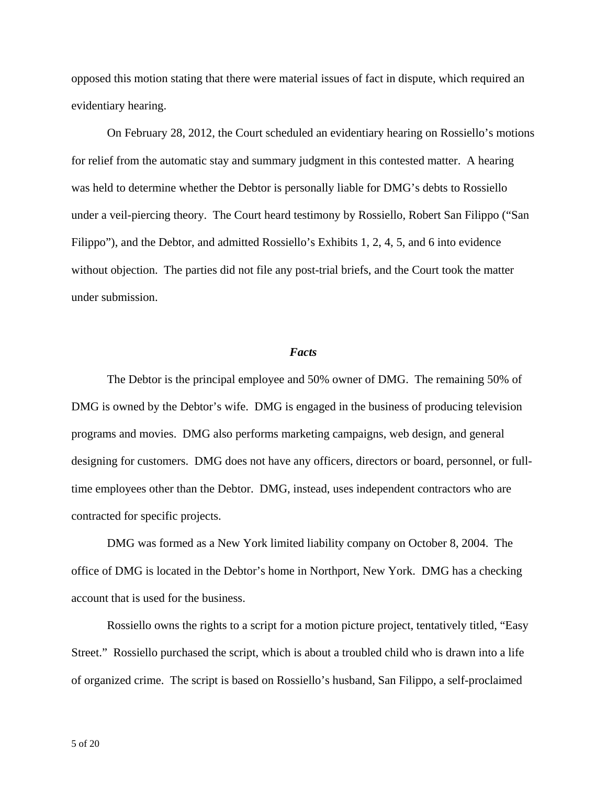opposed this motion stating that there were material issues of fact in dispute, which required an evidentiary hearing.

 On February 28, 2012, the Court scheduled an evidentiary hearing on Rossiello's motions for relief from the automatic stay and summary judgment in this contested matter. A hearing was held to determine whether the Debtor is personally liable for DMG's debts to Rossiello under a veil-piercing theory. The Court heard testimony by Rossiello, Robert San Filippo ("San Filippo"), and the Debtor, and admitted Rossiello's Exhibits 1, 2, 4, 5, and 6 into evidence without objection. The parties did not file any post-trial briefs, and the Court took the matter under submission.

### *Facts*

 The Debtor is the principal employee and 50% owner of DMG. The remaining 50% of DMG is owned by the Debtor's wife. DMG is engaged in the business of producing television programs and movies. DMG also performs marketing campaigns, web design, and general designing for customers. DMG does not have any officers, directors or board, personnel, or fulltime employees other than the Debtor. DMG, instead, uses independent contractors who are contracted for specific projects.

DMG was formed as a New York limited liability company on October 8, 2004. The office of DMG is located in the Debtor's home in Northport, New York. DMG has a checking account that is used for the business.

Rossiello owns the rights to a script for a motion picture project, tentatively titled, "Easy Street." Rossiello purchased the script, which is about a troubled child who is drawn into a life of organized crime. The script is based on Rossiello's husband, San Filippo, a self-proclaimed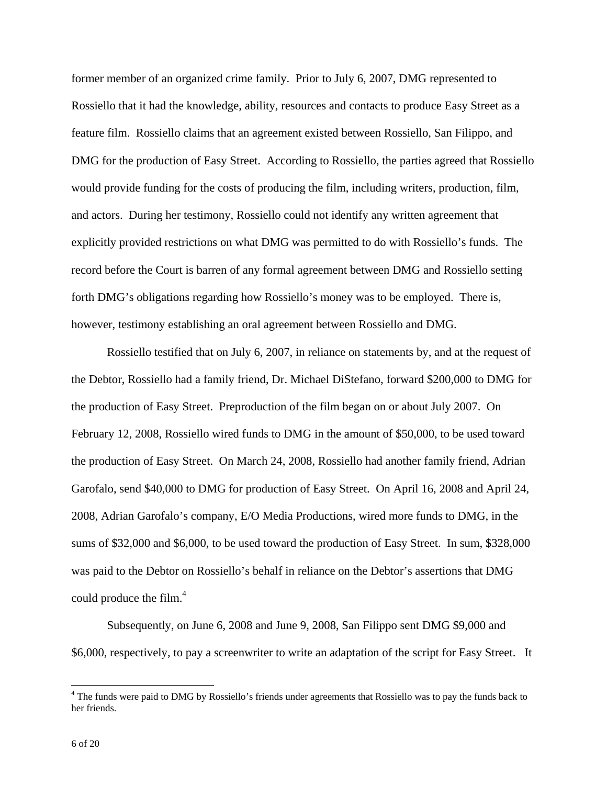former member of an organized crime family. Prior to July 6, 2007, DMG represented to Rossiello that it had the knowledge, ability, resources and contacts to produce Easy Street as a feature film. Rossiello claims that an agreement existed between Rossiello, San Filippo, and DMG for the production of Easy Street. According to Rossiello, the parties agreed that Rossiello would provide funding for the costs of producing the film, including writers, production, film, and actors. During her testimony, Rossiello could not identify any written agreement that explicitly provided restrictions on what DMG was permitted to do with Rossiello's funds. The record before the Court is barren of any formal agreement between DMG and Rossiello setting forth DMG's obligations regarding how Rossiello's money was to be employed. There is, however, testimony establishing an oral agreement between Rossiello and DMG.

Rossiello testified that on July 6, 2007, in reliance on statements by, and at the request of the Debtor, Rossiello had a family friend, Dr. Michael DiStefano, forward \$200,000 to DMG for the production of Easy Street. Preproduction of the film began on or about July 2007. On February 12, 2008, Rossiello wired funds to DMG in the amount of \$50,000, to be used toward the production of Easy Street. On March 24, 2008, Rossiello had another family friend, Adrian Garofalo, send \$40,000 to DMG for production of Easy Street. On April 16, 2008 and April 24, 2008, Adrian Garofalo's company, E/O Media Productions, wired more funds to DMG, in the sums of \$32,000 and \$6,000, to be used toward the production of Easy Street. In sum, \$328,000 was paid to the Debtor on Rossiello's behalf in reliance on the Debtor's assertions that DMG could produce the film. $4$ 

Subsequently, on June 6, 2008 and June 9, 2008, San Filippo sent DMG \$9,000 and \$6,000, respectively, to pay a screenwriter to write an adaptation of the script for Easy Street. It

<sup>&</sup>lt;sup>4</sup> The funds were paid to DMG by Rossiello's friends under agreements that Rossiello was to pay the funds back to her friends.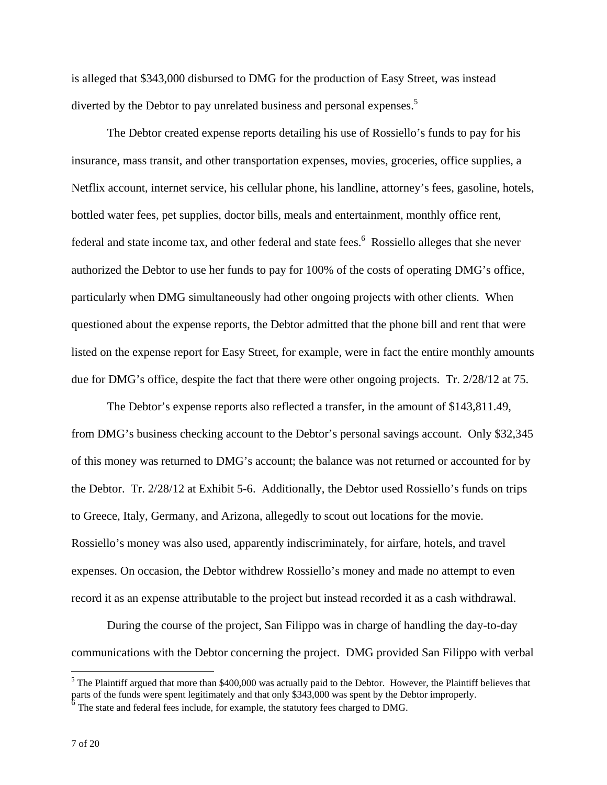is alleged that \$343,000 disbursed to DMG for the production of Easy Street, was instead diverted by the Debtor to pay unrelated business and personal expenses.<sup>5</sup>

The Debtor created expense reports detailing his use of Rossiello's funds to pay for his insurance, mass transit, and other transportation expenses, movies, groceries, office supplies, a Netflix account, internet service, his cellular phone, his landline, attorney's fees, gasoline, hotels, bottled water fees, pet supplies, doctor bills, meals and entertainment, monthly office rent, federal and state income tax, and other federal and state fees.<sup>6</sup> Rossiello alleges that she never authorized the Debtor to use her funds to pay for 100% of the costs of operating DMG's office, particularly when DMG simultaneously had other ongoing projects with other clients. When questioned about the expense reports, the Debtor admitted that the phone bill and rent that were listed on the expense report for Easy Street, for example, were in fact the entire monthly amounts due for DMG's office, despite the fact that there were other ongoing projects. Tr. 2/28/12 at 75.

The Debtor's expense reports also reflected a transfer, in the amount of \$143,811.49, from DMG's business checking account to the Debtor's personal savings account. Only \$32,345 of this money was returned to DMG's account; the balance was not returned or accounted for by the Debtor. Tr. 2/28/12 at Exhibit 5-6. Additionally, the Debtor used Rossiello's funds on trips to Greece, Italy, Germany, and Arizona, allegedly to scout out locations for the movie. Rossiello's money was also used, apparently indiscriminately, for airfare, hotels, and travel expenses. On occasion, the Debtor withdrew Rossiello's money and made no attempt to even record it as an expense attributable to the project but instead recorded it as a cash withdrawal.

During the course of the project, San Filippo was in charge of handling the day-to-day communications with the Debtor concerning the project. DMG provided San Filippo with verbal

 $<sup>5</sup>$  The Plaintiff argued that more than \$400,000 was actually paid to the Debtor. However, the Plaintiff believes that</sup> parts of the funds were spent legitimately and that only \$343,000 was spent by the Debtor improperly.

 $\overrightarrow{6}$  The state and federal fees include, for example, the statutory fees charged to DMG.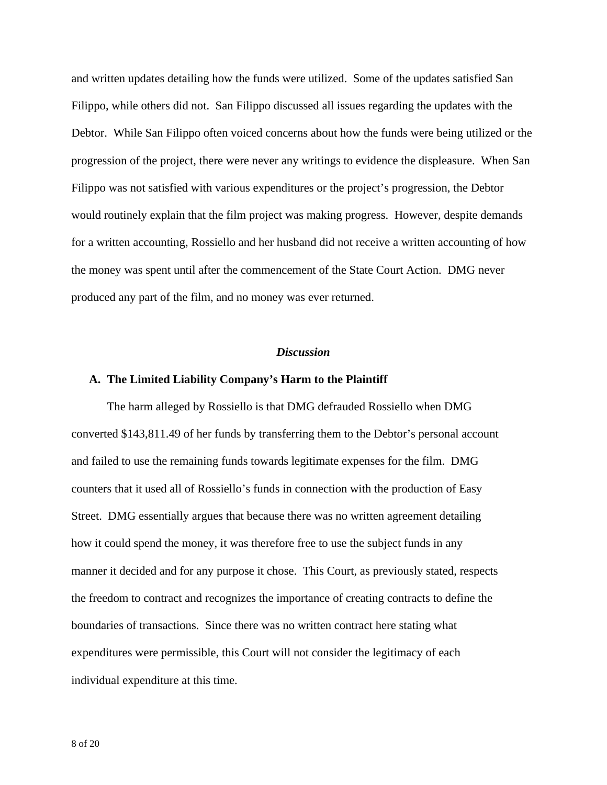and written updates detailing how the funds were utilized. Some of the updates satisfied San Filippo, while others did not. San Filippo discussed all issues regarding the updates with the Debtor. While San Filippo often voiced concerns about how the funds were being utilized or the progression of the project, there were never any writings to evidence the displeasure. When San Filippo was not satisfied with various expenditures or the project's progression, the Debtor would routinely explain that the film project was making progress. However, despite demands for a written accounting, Rossiello and her husband did not receive a written accounting of how the money was spent until after the commencement of the State Court Action. DMG never produced any part of the film, and no money was ever returned.

#### *Discussion*

#### **A. The Limited Liability Company's Harm to the Plaintiff**

The harm alleged by Rossiello is that DMG defrauded Rossiello when DMG converted \$143,811.49 of her funds by transferring them to the Debtor's personal account and failed to use the remaining funds towards legitimate expenses for the film. DMG counters that it used all of Rossiello's funds in connection with the production of Easy Street. DMG essentially argues that because there was no written agreement detailing how it could spend the money, it was therefore free to use the subject funds in any manner it decided and for any purpose it chose. This Court, as previously stated, respects the freedom to contract and recognizes the importance of creating contracts to define the boundaries of transactions. Since there was no written contract here stating what expenditures were permissible, this Court will not consider the legitimacy of each individual expenditure at this time.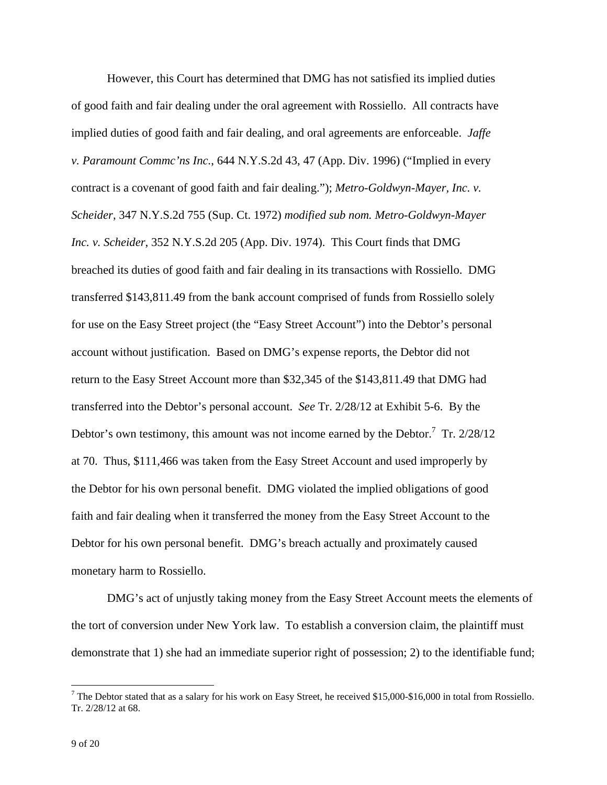However, this Court has determined that DMG has not satisfied its implied duties of good faith and fair dealing under the oral agreement with Rossiello. All contracts have implied duties of good faith and fair dealing, and oral agreements are enforceable. *Jaffe v. Paramount Commc'ns Inc.*, 644 N.Y.S.2d 43, 47 (App. Div. 1996) ("Implied in every contract is a covenant of good faith and fair dealing."); *Metro-Goldwyn-Mayer, Inc. v. Scheider*, 347 N.Y.S.2d 755 (Sup. Ct. 1972) *modified sub nom. Metro-Goldwyn-Mayer Inc. v. Scheider*, 352 N.Y.S.2d 205 (App. Div. 1974). This Court finds that DMG breached its duties of good faith and fair dealing in its transactions with Rossiello. DMG transferred \$143,811.49 from the bank account comprised of funds from Rossiello solely for use on the Easy Street project (the "Easy Street Account") into the Debtor's personal account without justification. Based on DMG's expense reports, the Debtor did not return to the Easy Street Account more than \$32,345 of the \$143,811.49 that DMG had transferred into the Debtor's personal account. *See* Tr. 2/28/12 at Exhibit 5-6. By the Debtor's own testimony, this amount was not income earned by the Debtor.<sup>7</sup> Tr.  $2/28/12$ at 70. Thus, \$111,466 was taken from the Easy Street Account and used improperly by the Debtor for his own personal benefit. DMG violated the implied obligations of good faith and fair dealing when it transferred the money from the Easy Street Account to the Debtor for his own personal benefit. DMG's breach actually and proximately caused monetary harm to Rossiello.

DMG's act of unjustly taking money from the Easy Street Account meets the elements of the tort of conversion under New York law. To establish a conversion claim, the plaintiff must demonstrate that 1) she had an immediate superior right of possession; 2) to the identifiable fund;

<sup>&</sup>lt;sup>7</sup> The Debtor stated that as a salary for his work on Easy Street, he received \$15,000-\$16,000 in total from Rossiello. Tr. 2/28/12 at 68.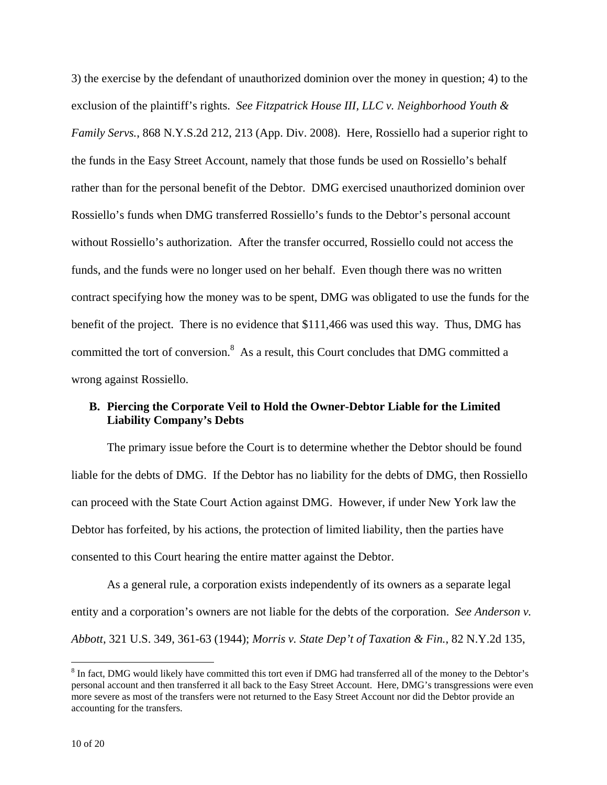3) the exercise by the defendant of unauthorized dominion over the money in question; 4) to the exclusion of the plaintiff's rights. *See Fitzpatrick House III, LLC v. Neighborhood Youth & Family Servs.*, 868 N.Y.S.2d 212, 213 (App. Div. 2008). Here, Rossiello had a superior right to the funds in the Easy Street Account, namely that those funds be used on Rossiello's behalf rather than for the personal benefit of the Debtor. DMG exercised unauthorized dominion over Rossiello's funds when DMG transferred Rossiello's funds to the Debtor's personal account without Rossiello's authorization. After the transfer occurred, Rossiello could not access the funds, and the funds were no longer used on her behalf. Even though there was no written contract specifying how the money was to be spent, DMG was obligated to use the funds for the benefit of the project. There is no evidence that \$111,466 was used this way. Thus, DMG has committed the tort of conversion.<sup>8</sup> As a result, this Court concludes that DMG committed a wrong against Rossiello.

# **B. Piercing the Corporate Veil to Hold the Owner-Debtor Liable for the Limited Liability Company's Debts**

The primary issue before the Court is to determine whether the Debtor should be found liable for the debts of DMG. If the Debtor has no liability for the debts of DMG, then Rossiello can proceed with the State Court Action against DMG. However, if under New York law the Debtor has forfeited, by his actions, the protection of limited liability, then the parties have consented to this Court hearing the entire matter against the Debtor.

As a general rule, a corporation exists independently of its owners as a separate legal entity and a corporation's owners are not liable for the debts of the corporation. *See Anderson v. Abbott*, 321 U.S. 349, 361-63 (1944); *Morris v. State Dep't of Taxation & Fin.*, 82 N.Y.2d 135,

 $8$  In fact, DMG would likely have committed this tort even if DMG had transferred all of the money to the Debtor's personal account and then transferred it all back to the Easy Street Account. Here, DMG's transgressions were even more severe as most of the transfers were not returned to the Easy Street Account nor did the Debtor provide an accounting for the transfers.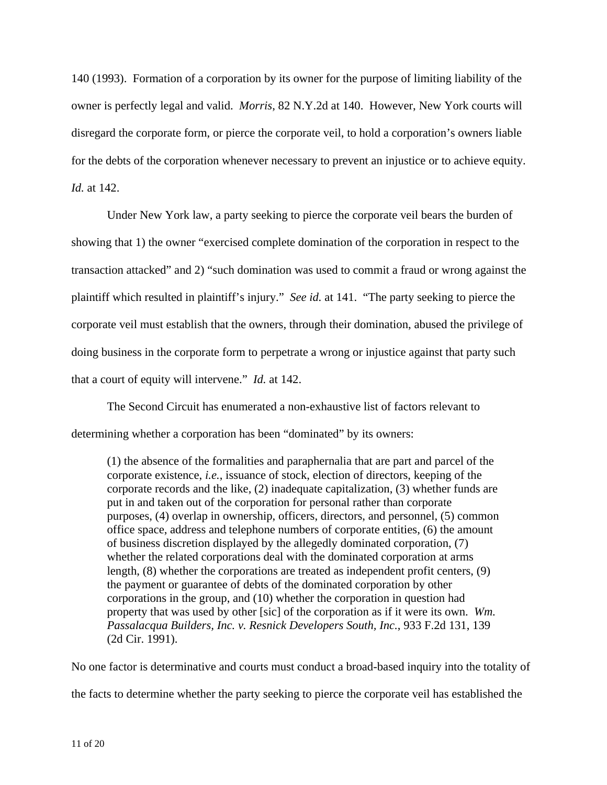140 (1993). Formation of a corporation by its owner for the purpose of limiting liability of the owner is perfectly legal and valid. *Morris*, 82 N.Y.2d at 140. However, New York courts will disregard the corporate form, or pierce the corporate veil, to hold a corporation's owners liable for the debts of the corporation whenever necessary to prevent an injustice or to achieve equity. *Id.* at 142.

 Under New York law, a party seeking to pierce the corporate veil bears the burden of showing that 1) the owner "exercised complete domination of the corporation in respect to the transaction attacked" and 2) "such domination was used to commit a fraud or wrong against the plaintiff which resulted in plaintiff's injury." *See id.* at 141. "The party seeking to pierce the corporate veil must establish that the owners, through their domination, abused the privilege of doing business in the corporate form to perpetrate a wrong or injustice against that party such that a court of equity will intervene." *Id.* at 142.

 The Second Circuit has enumerated a non-exhaustive list of factors relevant to determining whether a corporation has been "dominated" by its owners:

(1) the absence of the formalities and paraphernalia that are part and parcel of the corporate existence, *i.e.*, issuance of stock, election of directors, keeping of the corporate records and the like, (2) inadequate capitalization, (3) whether funds are put in and taken out of the corporation for personal rather than corporate purposes, (4) overlap in ownership, officers, directors, and personnel, (5) common office space, address and telephone numbers of corporate entities, (6) the amount of business discretion displayed by the allegedly dominated corporation, (7) whether the related corporations deal with the dominated corporation at arms length, (8) whether the corporations are treated as independent profit centers, (9) the payment or guarantee of debts of the dominated corporation by other corporations in the group, and (10) whether the corporation in question had property that was used by other [sic] of the corporation as if it were its own. *Wm. Passalacqua Builders, Inc. v. Resnick Developers South, Inc.*, 933 F.2d 131, 139 (2d Cir. 1991).

No one factor is determinative and courts must conduct a broad-based inquiry into the totality of the facts to determine whether the party seeking to pierce the corporate veil has established the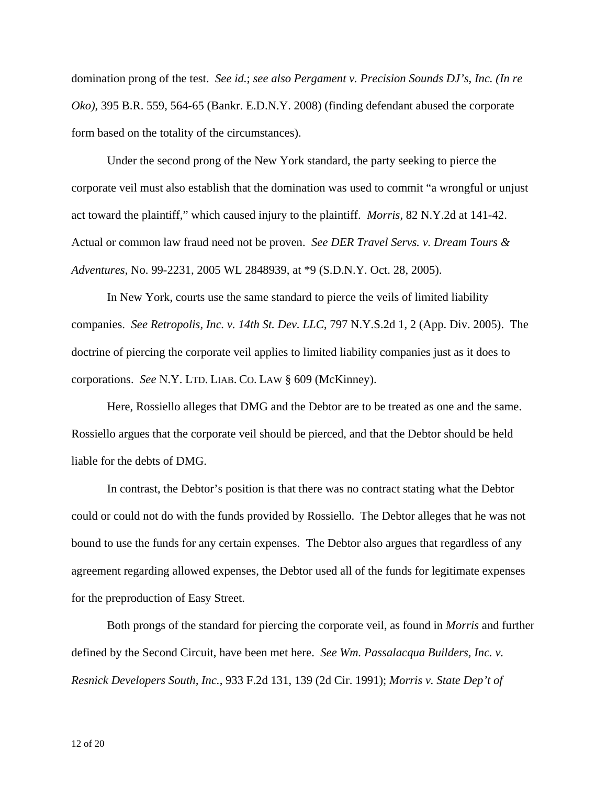domination prong of the test. *See id.*; *see also Pergament v. Precision Sounds DJ's, Inc. (In re Oko)*, 395 B.R. 559, 564-65 (Bankr. E.D.N.Y. 2008) (finding defendant abused the corporate form based on the totality of the circumstances).

Under the second prong of the New York standard, the party seeking to pierce the corporate veil must also establish that the domination was used to commit "a wrongful or unjust act toward the plaintiff," which caused injury to the plaintiff. *Morris*, 82 N.Y.2d at 141-42. Actual or common law fraud need not be proven. *See DER Travel Servs. v. Dream Tours & Adventures*, No. 99-2231, 2005 WL 2848939, at \*9 (S.D.N.Y. Oct. 28, 2005).

In New York, courts use the same standard to pierce the veils of limited liability companies. *See Retropolis, Inc. v. 14th St. Dev. LLC*, 797 N.Y.S.2d 1, 2 (App. Div. 2005). The doctrine of piercing the corporate veil applies to limited liability companies just as it does to corporations. *See* N.Y. LTD. LIAB. CO. LAW § 609 (McKinney).

Here, Rossiello alleges that DMG and the Debtor are to be treated as one and the same. Rossiello argues that the corporate veil should be pierced, and that the Debtor should be held liable for the debts of DMG.

In contrast, the Debtor's position is that there was no contract stating what the Debtor could or could not do with the funds provided by Rossiello. The Debtor alleges that he was not bound to use the funds for any certain expenses. The Debtor also argues that regardless of any agreement regarding allowed expenses, the Debtor used all of the funds for legitimate expenses for the preproduction of Easy Street.

 Both prongs of the standard for piercing the corporate veil, as found in *Morris* and further defined by the Second Circuit, have been met here. *See Wm. Passalacqua Builders, Inc. v. Resnick Developers South, Inc.*, 933 F.2d 131, 139 (2d Cir. 1991); *Morris v. State Dep't of*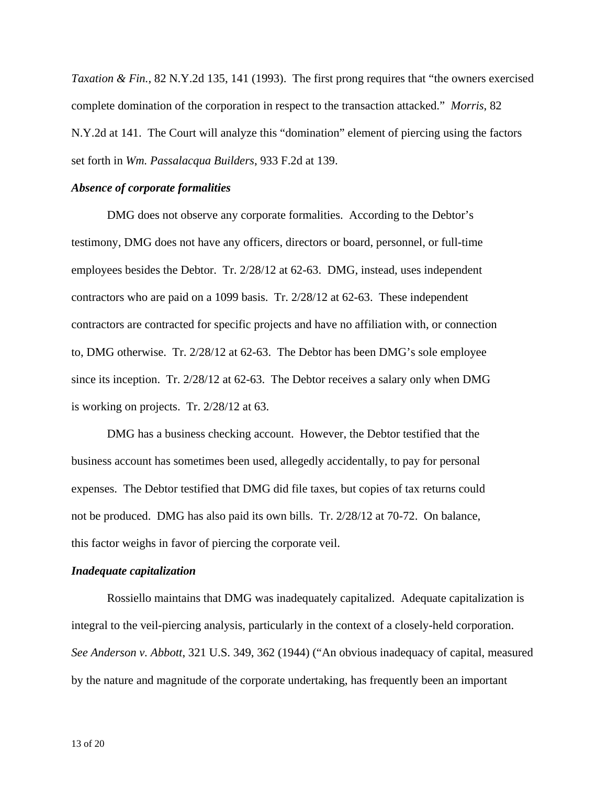*Taxation & Fin.*, 82 N.Y.2d 135, 141 (1993). The first prong requires that "the owners exercised complete domination of the corporation in respect to the transaction attacked." *Morris*, 82 N.Y.2d at 141. The Court will analyze this "domination" element of piercing using the factors set forth in *Wm. Passalacqua Builders*, 933 F.2d at 139.

## *Absence of corporate formalities*

DMG does not observe any corporate formalities. According to the Debtor's testimony, DMG does not have any officers, directors or board, personnel, or full-time employees besides the Debtor. Tr. 2/28/12 at 62-63. DMG, instead, uses independent contractors who are paid on a 1099 basis. Tr. 2/28/12 at 62-63. These independent contractors are contracted for specific projects and have no affiliation with, or connection to, DMG otherwise. Tr. 2/28/12 at 62-63. The Debtor has been DMG's sole employee since its inception. Tr. 2/28/12 at 62-63. The Debtor receives a salary only when DMG is working on projects. Tr. 2/28/12 at 63.

DMG has a business checking account. However, the Debtor testified that the business account has sometimes been used, allegedly accidentally, to pay for personal expenses. The Debtor testified that DMG did file taxes, but copies of tax returns could not be produced. DMG has also paid its own bills. Tr. 2/28/12 at 70-72. On balance, this factor weighs in favor of piercing the corporate veil.

#### *Inadequate capitalization*

Rossiello maintains that DMG was inadequately capitalized. Adequate capitalization is integral to the veil-piercing analysis, particularly in the context of a closely-held corporation. *See Anderson v. Abbott*, 321 U.S. 349, 362 (1944) ("An obvious inadequacy of capital, measured by the nature and magnitude of the corporate undertaking, has frequently been an important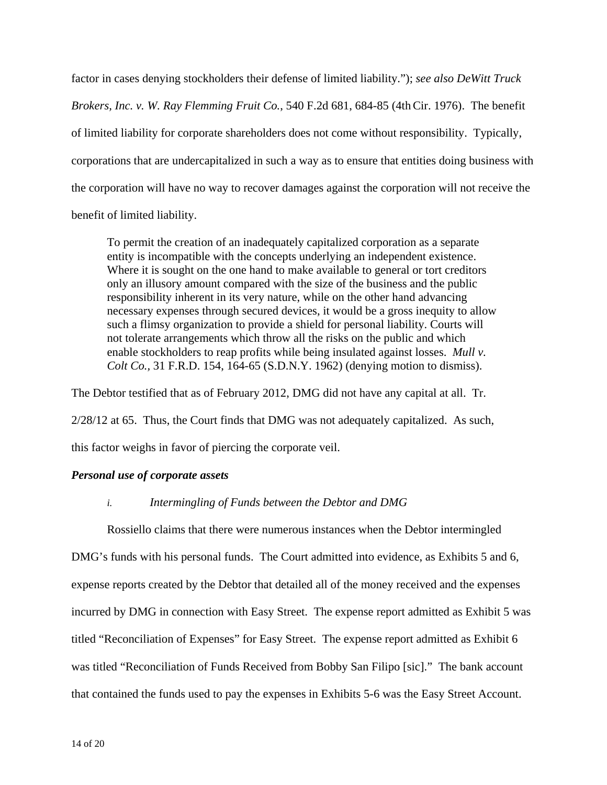factor in cases denying stockholders their defense of limited liability."); *see also DeWitt Truck Brokers, Inc. v. W. Ray Flemming Fruit Co.*, 540 F.2d 681, 684-85 (4thCir. 1976). The benefit of limited liability for corporate shareholders does not come without responsibility. Typically, corporations that are undercapitalized in such a way as to ensure that entities doing business with the corporation will have no way to recover damages against the corporation will not receive the benefit of limited liability.

To permit the creation of an inadequately capitalized corporation as a separate entity is incompatible with the concepts underlying an independent existence. Where it is sought on the one hand to make available to general or tort creditors only an illusory amount compared with the size of the business and the public responsibility inherent in its very nature, while on the other hand advancing necessary expenses through secured devices, it would be a gross inequity to allow such a flimsy organization to provide a shield for personal liability. Courts will not tolerate arrangements which throw all the risks on the public and which enable stockholders to reap profits while being insulated against losses. *Mull v. Colt Co.,* 31 F.R.D. 154, 164-65 (S.D.N.Y. 1962) (denying motion to dismiss).

The Debtor testified that as of February 2012, DMG did not have any capital at all. Tr.

2/28/12 at 65. Thus, the Court finds that DMG was not adequately capitalized. As such,

this factor weighs in favor of piercing the corporate veil.

# *Personal use of corporate assets*

### *i. Intermingling of Funds between the Debtor and DMG*

Rossiello claims that there were numerous instances when the Debtor intermingled DMG's funds with his personal funds. The Court admitted into evidence, as Exhibits 5 and 6, expense reports created by the Debtor that detailed all of the money received and the expenses incurred by DMG in connection with Easy Street. The expense report admitted as Exhibit 5 was titled "Reconciliation of Expenses" for Easy Street. The expense report admitted as Exhibit 6 was titled "Reconciliation of Funds Received from Bobby San Filipo [sic]." The bank account that contained the funds used to pay the expenses in Exhibits 5-6 was the Easy Street Account.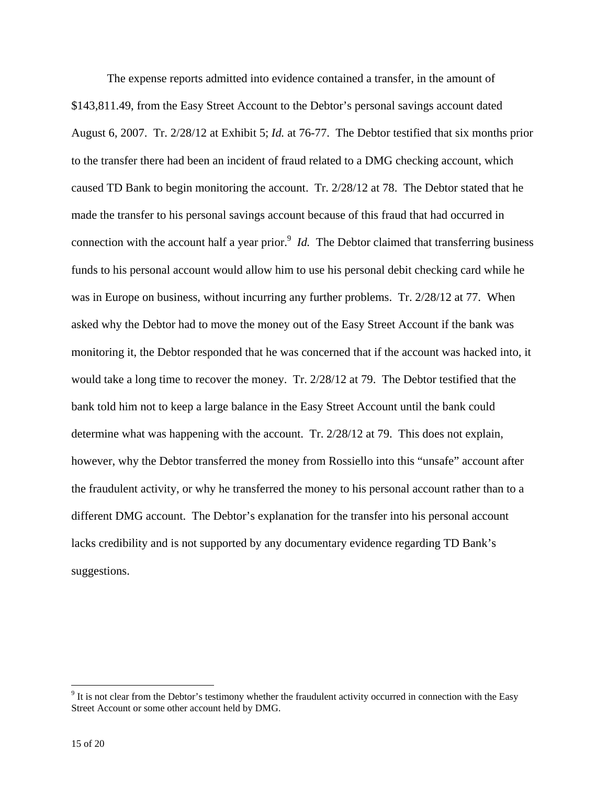The expense reports admitted into evidence contained a transfer, in the amount of \$143,811.49, from the Easy Street Account to the Debtor's personal savings account dated August 6, 2007. Tr. 2/28/12 at Exhibit 5; *Id.* at 76-77. The Debtor testified that six months prior to the transfer there had been an incident of fraud related to a DMG checking account, which caused TD Bank to begin monitoring the account. Tr. 2/28/12 at 78. The Debtor stated that he made the transfer to his personal savings account because of this fraud that had occurred in connection with the account half a year prior.<sup>9</sup> *Id.* The Debtor claimed that transferring business funds to his personal account would allow him to use his personal debit checking card while he was in Europe on business, without incurring any further problems. Tr. 2/28/12 at 77. When asked why the Debtor had to move the money out of the Easy Street Account if the bank was monitoring it, the Debtor responded that he was concerned that if the account was hacked into, it would take a long time to recover the money. Tr. 2/28/12 at 79. The Debtor testified that the bank told him not to keep a large balance in the Easy Street Account until the bank could determine what was happening with the account. Tr. 2/28/12 at 79. This does not explain, however, why the Debtor transferred the money from Rossiello into this "unsafe" account after the fraudulent activity, or why he transferred the money to his personal account rather than to a different DMG account. The Debtor's explanation for the transfer into his personal account lacks credibility and is not supported by any documentary evidence regarding TD Bank's suggestions.

 $9<sup>9</sup>$  It is not clear from the Debtor's testimony whether the fraudulent activity occurred in connection with the Easy Street Account or some other account held by DMG.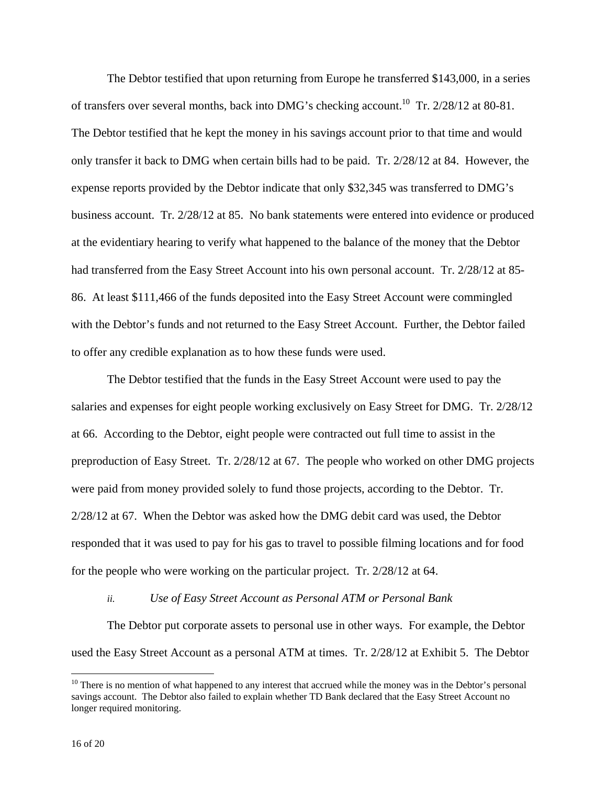The Debtor testified that upon returning from Europe he transferred \$143,000, in a series of transfers over several months, back into DMG's checking account.<sup>10</sup> Tr. 2/28/12 at 80-81. The Debtor testified that he kept the money in his savings account prior to that time and would only transfer it back to DMG when certain bills had to be paid. Tr. 2/28/12 at 84. However, the expense reports provided by the Debtor indicate that only \$32,345 was transferred to DMG's business account. Tr. 2/28/12 at 85. No bank statements were entered into evidence or produced at the evidentiary hearing to verify what happened to the balance of the money that the Debtor had transferred from the Easy Street Account into his own personal account. Tr. 2/28/12 at 85- 86. At least \$111,466 of the funds deposited into the Easy Street Account were commingled with the Debtor's funds and not returned to the Easy Street Account. Further, the Debtor failed to offer any credible explanation as to how these funds were used.

The Debtor testified that the funds in the Easy Street Account were used to pay the salaries and expenses for eight people working exclusively on Easy Street for DMG. Tr. 2/28/12 at 66. According to the Debtor, eight people were contracted out full time to assist in the preproduction of Easy Street. Tr. 2/28/12 at 67. The people who worked on other DMG projects were paid from money provided solely to fund those projects, according to the Debtor. Tr. 2/28/12 at 67. When the Debtor was asked how the DMG debit card was used, the Debtor responded that it was used to pay for his gas to travel to possible filming locations and for food for the people who were working on the particular project. Tr. 2/28/12 at 64.

### *ii. Use of Easy Street Account as Personal ATM or Personal Bank*

The Debtor put corporate assets to personal use in other ways. For example, the Debtor used the Easy Street Account as a personal ATM at times. Tr. 2/28/12 at Exhibit 5. The Debtor

 $10$  There is no mention of what happened to any interest that accrued while the money was in the Debtor's personal savings account. The Debtor also failed to explain whether TD Bank declared that the Easy Street Account no longer required monitoring.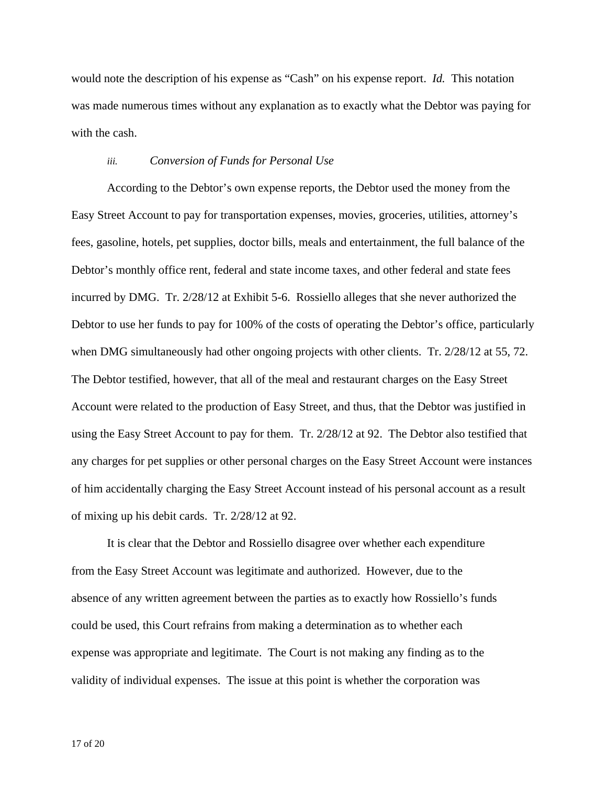would note the description of his expense as "Cash" on his expense report. *Id.* This notation was made numerous times without any explanation as to exactly what the Debtor was paying for with the cash.

### *iii. Conversion of Funds for Personal Use*

According to the Debtor's own expense reports, the Debtor used the money from the Easy Street Account to pay for transportation expenses, movies, groceries, utilities, attorney's fees, gasoline, hotels, pet supplies, doctor bills, meals and entertainment, the full balance of the Debtor's monthly office rent, federal and state income taxes, and other federal and state fees incurred by DMG. Tr. 2/28/12 at Exhibit 5-6. Rossiello alleges that she never authorized the Debtor to use her funds to pay for 100% of the costs of operating the Debtor's office, particularly when DMG simultaneously had other ongoing projects with other clients. Tr. 2/28/12 at 55, 72. The Debtor testified, however, that all of the meal and restaurant charges on the Easy Street Account were related to the production of Easy Street, and thus, that the Debtor was justified in using the Easy Street Account to pay for them. Tr. 2/28/12 at 92. The Debtor also testified that any charges for pet supplies or other personal charges on the Easy Street Account were instances of him accidentally charging the Easy Street Account instead of his personal account as a result of mixing up his debit cards. Tr. 2/28/12 at 92.

It is clear that the Debtor and Rossiello disagree over whether each expenditure from the Easy Street Account was legitimate and authorized. However, due to the absence of any written agreement between the parties as to exactly how Rossiello's funds could be used, this Court refrains from making a determination as to whether each expense was appropriate and legitimate. The Court is not making any finding as to the validity of individual expenses. The issue at this point is whether the corporation was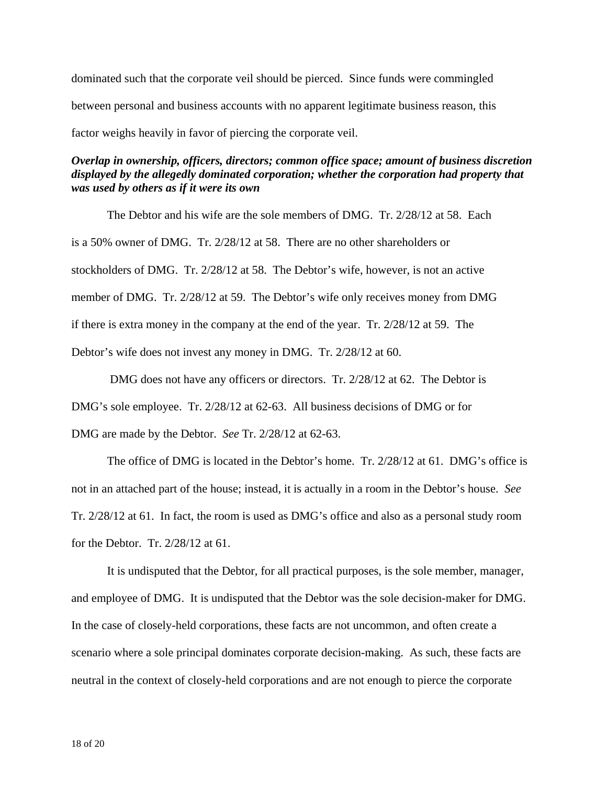dominated such that the corporate veil should be pierced. Since funds were commingled between personal and business accounts with no apparent legitimate business reason, this factor weighs heavily in favor of piercing the corporate veil.

# *Overlap in ownership, officers, directors; common office space; amount of business discretion displayed by the allegedly dominated corporation; whether the corporation had property that was used by others as if it were its own*

The Debtor and his wife are the sole members of DMG. Tr. 2/28/12 at 58. Each is a 50% owner of DMG. Tr. 2/28/12 at 58. There are no other shareholders or stockholders of DMG. Tr. 2/28/12 at 58. The Debtor's wife, however, is not an active member of DMG. Tr. 2/28/12 at 59. The Debtor's wife only receives money from DMG if there is extra money in the company at the end of the year. Tr. 2/28/12 at 59. The Debtor's wife does not invest any money in DMG. Tr. 2/28/12 at 60.

 DMG does not have any officers or directors. Tr. 2/28/12 at 62. The Debtor is DMG's sole employee. Tr. 2/28/12 at 62-63. All business decisions of DMG or for DMG are made by the Debtor. *See* Tr. 2/28/12 at 62-63.

The office of DMG is located in the Debtor's home. Tr. 2/28/12 at 61. DMG's office is not in an attached part of the house; instead, it is actually in a room in the Debtor's house. *See* Tr. 2/28/12 at 61. In fact, the room is used as DMG's office and also as a personal study room for the Debtor. Tr. 2/28/12 at 61.

It is undisputed that the Debtor, for all practical purposes, is the sole member, manager, and employee of DMG. It is undisputed that the Debtor was the sole decision-maker for DMG. In the case of closely-held corporations, these facts are not uncommon, and often create a scenario where a sole principal dominates corporate decision-making. As such, these facts are neutral in the context of closely-held corporations and are not enough to pierce the corporate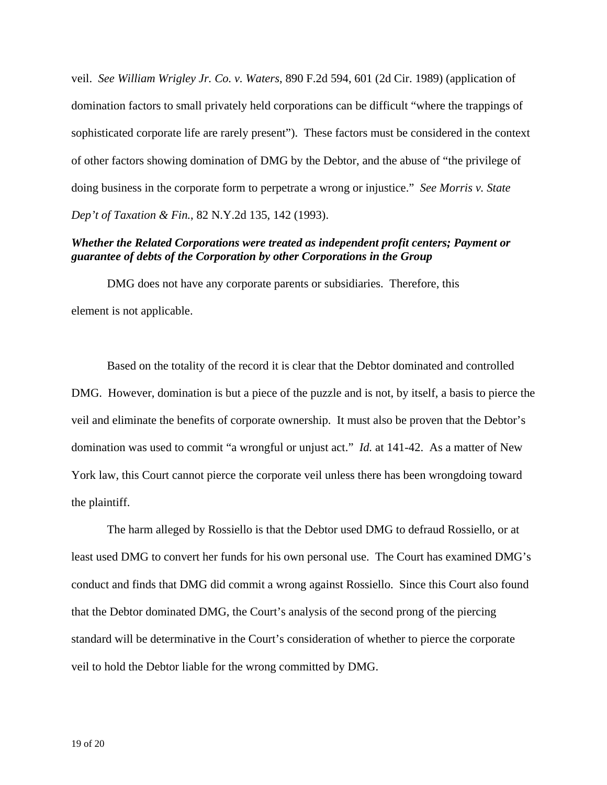veil.*See William Wrigley Jr. Co. v. Waters*, 890 F.2d 594, 601 (2d Cir. 1989) (application of domination factors to small privately held corporations can be difficult "where the trappings of sophisticated corporate life are rarely present"). These factors must be considered in the context of other factors showing domination of DMG by the Debtor, and the abuse of "the privilege of doing business in the corporate form to perpetrate a wrong or injustice." *See Morris v. State Dep't of Taxation & Fin.*, 82 N.Y.2d 135, 142 (1993).

# *Whether the Related Corporations were treated as independent profit centers; Payment or guarantee of debts of the Corporation by other Corporations in the Group*

DMG does not have any corporate parents or subsidiaries. Therefore, this element is not applicable.

Based on the totality of the record it is clear that the Debtor dominated and controlled DMG. However, domination is but a piece of the puzzle and is not, by itself, a basis to pierce the veil and eliminate the benefits of corporate ownership. It must also be proven that the Debtor's domination was used to commit "a wrongful or unjust act." *Id.* at 141-42. As a matter of New York law, this Court cannot pierce the corporate veil unless there has been wrongdoing toward the plaintiff.

The harm alleged by Rossiello is that the Debtor used DMG to defraud Rossiello, or at least used DMG to convert her funds for his own personal use. The Court has examined DMG's conduct and finds that DMG did commit a wrong against Rossiello. Since this Court also found that the Debtor dominated DMG, the Court's analysis of the second prong of the piercing standard will be determinative in the Court's consideration of whether to pierce the corporate veil to hold the Debtor liable for the wrong committed by DMG.